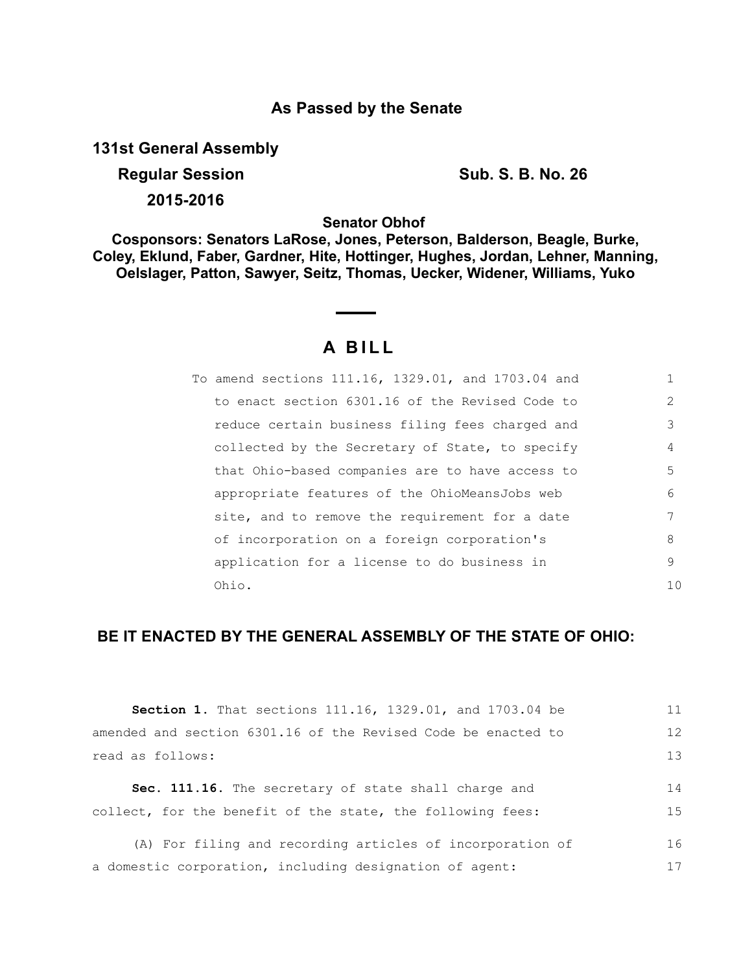## **As Passed by the Senate**

**131st General Assembly**

**Regular Session Sub. S. B. No. 26** 

**2015-2016**

**Senator Obhof** 

**Cosponsors: Senators LaRose, Jones, Peterson, Balderson, Beagle, Burke, Coley, Eklund, Faber, Gardner, Hite, Hottinger, Hughes, Jordan, Lehner, Manning, Oelslager, Patton, Sawyer, Seitz, Thomas, Uecker, Widener, Williams, Yuko**

# **A BILL**

| To amend sections 111.16, 1329.01, and 1703.04 and |    |
|----------------------------------------------------|----|
| to enact section 6301.16 of the Revised Code to    | 2  |
| reduce certain business filing fees charged and    | 3  |
| collected by the Secretary of State, to specify    | 4  |
| that Ohio-based companies are to have access to    | 5  |
| appropriate features of the OhioMeansJobs web      | 6  |
| site, and to remove the requirement for a date     | 7  |
| of incorporation on a foreign corporation's        | 8  |
| application for a license to do business in        | 9  |
| Ohio.                                              | 10 |

## **BE IT ENACTED BY THE GENERAL ASSEMBLY OF THE STATE OF OHIO:**

| <b>Section 1.</b> That sections 111.16, 1329.01, and 1703.04 be | 11 |
|-----------------------------------------------------------------|----|
| amended and section 6301.16 of the Revised Code be enacted to   | 12 |
| read as follows:                                                | 13 |
| <b>Sec. 111.16.</b> The secretary of state shall charge and     | 14 |
| collect, for the benefit of the state, the following fees:      | 15 |
| (A) For filing and recording articles of incorporation of       | 16 |
| a domestic corporation, including designation of agent:         | 17 |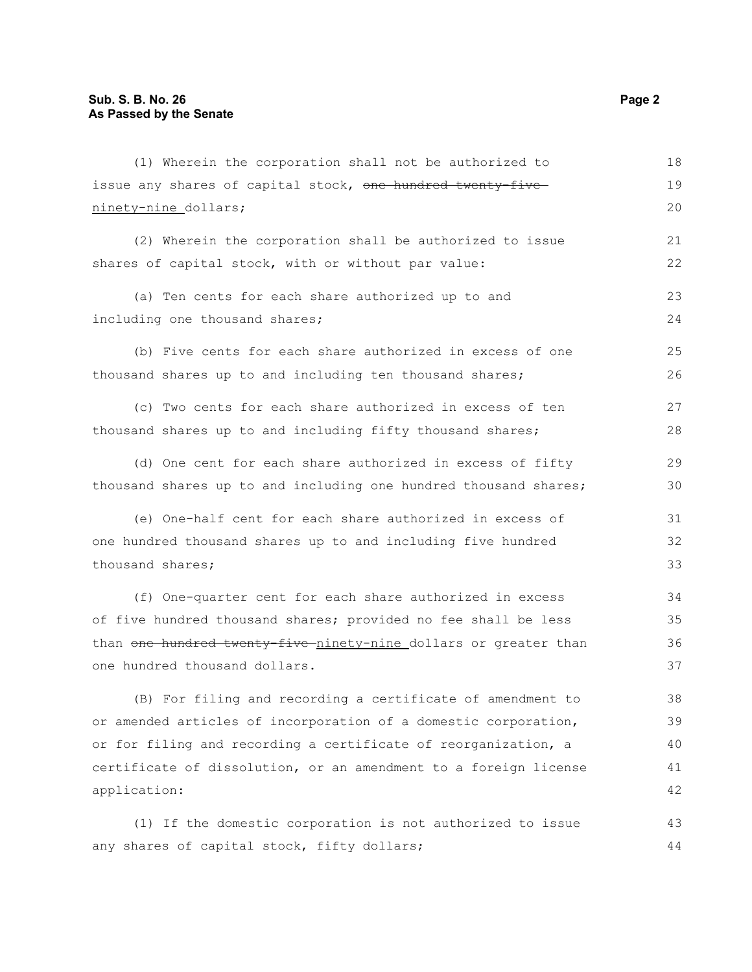| (1) Wherein the corporation shall not be authorized to           | 18 |
|------------------------------------------------------------------|----|
| issue any shares of capital stock, one hundred twenty-five       | 19 |
| ninety-nine_dollars;                                             | 20 |
| (2) Wherein the corporation shall be authorized to issue         | 21 |
| shares of capital stock, with or without par value:              | 22 |
|                                                                  |    |
| (a) Ten cents for each share authorized up to and                | 23 |
| including one thousand shares;                                   | 24 |
| (b) Five cents for each share authorized in excess of one        | 25 |
| thousand shares up to and including ten thousand shares;         | 26 |
| (c) Two cents for each share authorized in excess of ten         | 27 |
| thousand shares up to and including fifty thousand shares;       | 28 |
|                                                                  |    |
| (d) One cent for each share authorized in excess of fifty        | 29 |
| thousand shares up to and including one hundred thousand shares; | 30 |
| (e) One-half cent for each share authorized in excess of         | 31 |
| one hundred thousand shares up to and including five hundred     | 32 |
| thousand shares;                                                 | 33 |
| (f) One-quarter cent for each share authorized in excess         | 34 |
| of five hundred thousand shares; provided no fee shall be less   | 35 |
| than one hundred twenty five ninety-nine dollars or greater than | 36 |
| one hundred thousand dollars.                                    | 37 |
|                                                                  |    |
| (B) For filing and recording a certificate of amendment to       | 38 |
| or amended articles of incorporation of a domestic corporation,  | 39 |
| or for filing and recording a certificate of reorganization, a   | 40 |
| certificate of dissolution, or an amendment to a foreign license | 41 |
| application:                                                     | 42 |
| (1) If the domestic corporation is not authorized to issue       | 43 |

(1) If the domestic corporation is not authorized to issue any shares of capital stock, fifty dollars; 44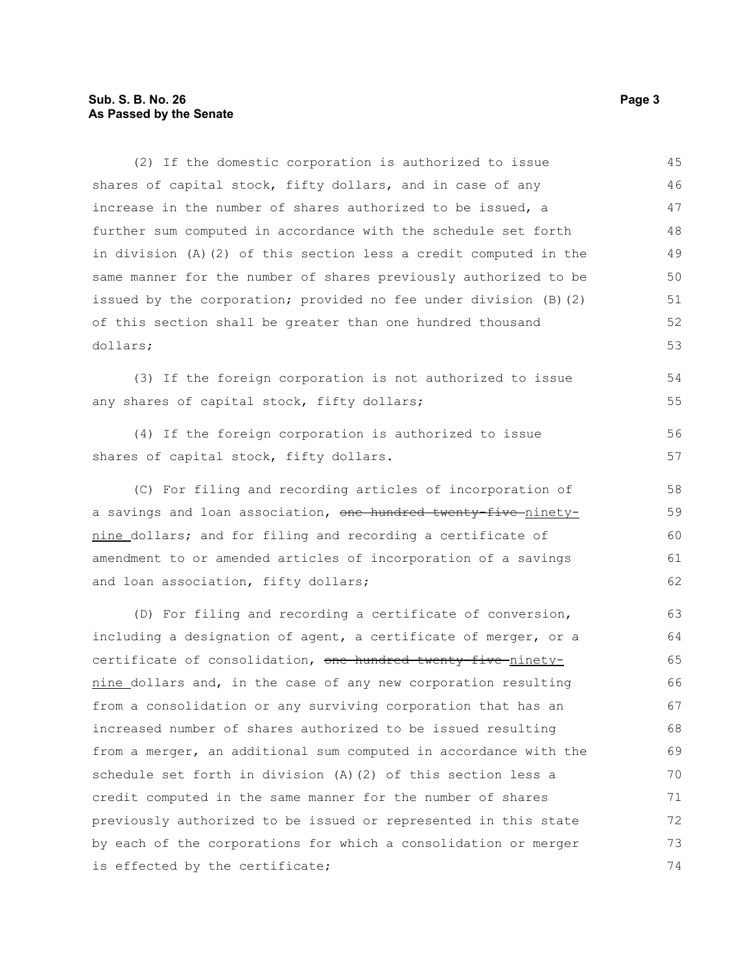#### **Sub. S. B. No. 26 Page 3 As Passed by the Senate**

(2) If the domestic corporation is authorized to issue shares of capital stock, fifty dollars, and in case of any increase in the number of shares authorized to be issued, a further sum computed in accordance with the schedule set forth in division (A)(2) of this section less a credit computed in the same manner for the number of shares previously authorized to be issued by the corporation; provided no fee under division (B)(2) of this section shall be greater than one hundred thousand dollars; (3) If the foreign corporation is not authorized to issue any shares of capital stock, fifty dollars; (4) If the foreign corporation is authorized to issue shares of capital stock, fifty dollars. (C) For filing and recording articles of incorporation of a savings and loan association, one hundred twenty-five-ninetynine dollars; and for filing and recording a certificate of amendment to or amended articles of incorporation of a savings and loan association, fifty dollars; (D) For filing and recording a certificate of conversion, including a designation of agent, a certificate of merger, or a certificate of consolidation, one hundred twenty-five-ninetynine dollars and, in the case of any new corporation resulting from a consolidation or any surviving corporation that has an increased number of shares authorized to be issued resulting from a merger, an additional sum computed in accordance with the schedule set forth in division (A)(2) of this section less a credit computed in the same manner for the number of shares previously authorized to be issued or represented in this state by each of the corporations for which a consolidation or merger is effected by the certificate; 45 46 47 48 49 50 51 52 53 54 55 56 57 58 59 60 61 62 63 64 65 66 67 68 69 70 71 72 73 74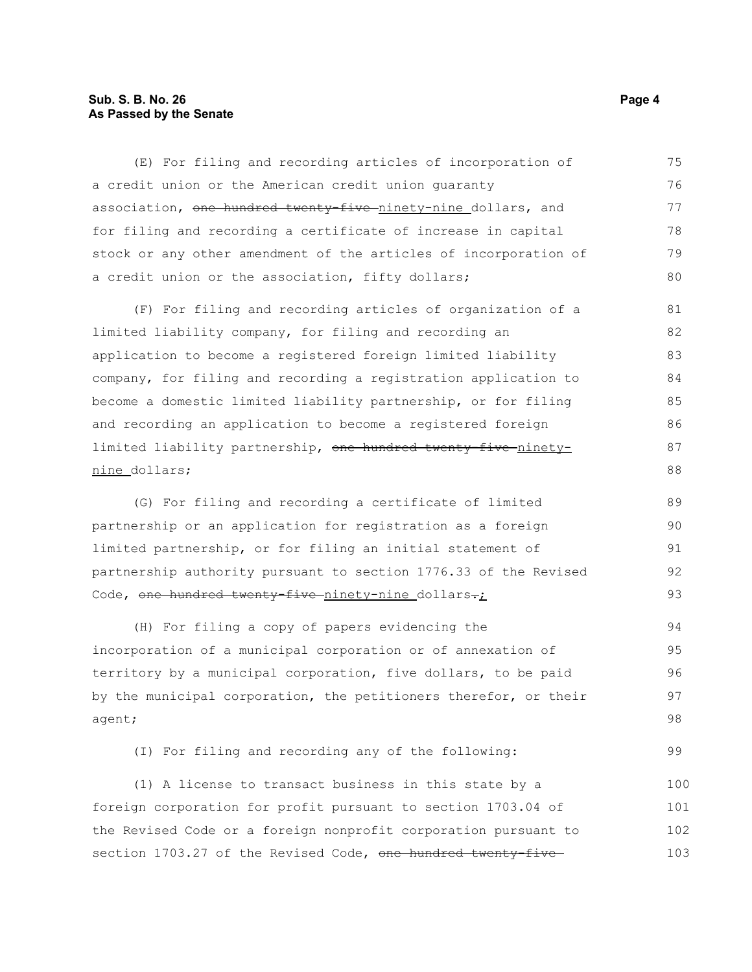#### **Sub. S. B. No. 26 Page 4 As Passed by the Senate**

(E) For filing and recording articles of incorporation of a credit union or the American credit union guaranty association, one hundred twenty-five ninety-nine dollars, and for filing and recording a certificate of increase in capital stock or any other amendment of the articles of incorporation of a credit union or the association, fifty dollars; (F) For filing and recording articles of organization of a limited liability company, for filing and recording an application to become a registered foreign limited liability company, for filing and recording a registration application to become a domestic limited liability partnership, or for filing and recording an application to become a registered foreign limited liability partnership, one hundred twenty-five ninetynine dollars; (G) For filing and recording a certificate of limited partnership or an application for registration as a foreign limited partnership, or for filing an initial statement of partnership authority pursuant to section 1776.33 of the Revised Code, one hundred twenty-five ninety-nine dollars-; (H) For filing a copy of papers evidencing the incorporation of a municipal corporation or of annexation of territory by a municipal corporation, five dollars, to be paid by the municipal corporation, the petitioners therefor, or their agent; (I) For filing and recording any of the following: 75 76 77 78 79 80 81 82 83 84 85 86 87 88 89 90 91 92 93 94 95 96 97 98

(1) A license to transact business in this state by a foreign corporation for profit pursuant to section 1703.04 of the Revised Code or a foreign nonprofit corporation pursuant to section 1703.27 of the Revised Code, one hundred twenty-five 100 101 102 103

99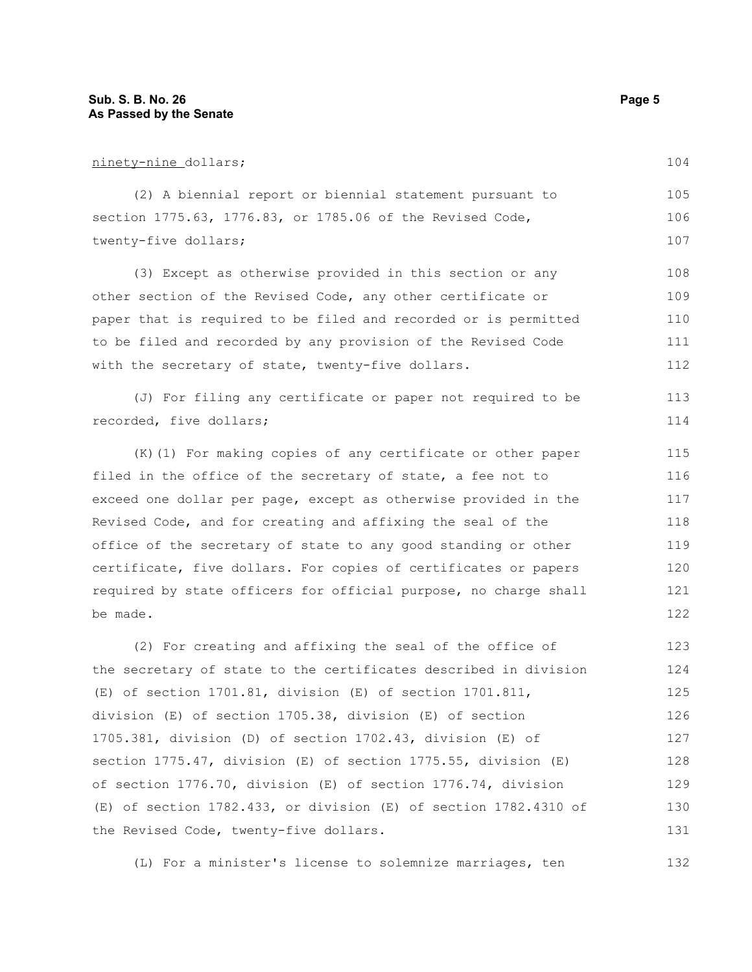#### ninety-nine dollars;

(2) A biennial report or biennial statement pursuant to section 1775.63, 1776.83, or 1785.06 of the Revised Code, twenty-five dollars; 105 106 107

(3) Except as otherwise provided in this section or any other section of the Revised Code, any other certificate or paper that is required to be filed and recorded or is permitted to be filed and recorded by any provision of the Revised Code with the secretary of state, twenty-five dollars. 108 109 110 111 112

(J) For filing any certificate or paper not required to be recorded, five dollars; 113 114

(K)(1) For making copies of any certificate or other paper filed in the office of the secretary of state, a fee not to exceed one dollar per page, except as otherwise provided in the Revised Code, and for creating and affixing the seal of the office of the secretary of state to any good standing or other certificate, five dollars. For copies of certificates or papers required by state officers for official purpose, no charge shall be made. 115 116 117 118 119 120 121 122

(2) For creating and affixing the seal of the office of the secretary of state to the certificates described in division (E) of section 1701.81, division (E) of section 1701.811, division (E) of section 1705.38, division (E) of section 1705.381, division (D) of section 1702.43, division (E) of section 1775.47, division (E) of section 1775.55, division (E) of section 1776.70, division (E) of section 1776.74, division (E) of section 1782.433, or division (E) of section 1782.4310 of the Revised Code, twenty-five dollars. 123 124 125 126 127 128 129 130 131

(L) For a minister's license to solemnize marriages, ten 132

104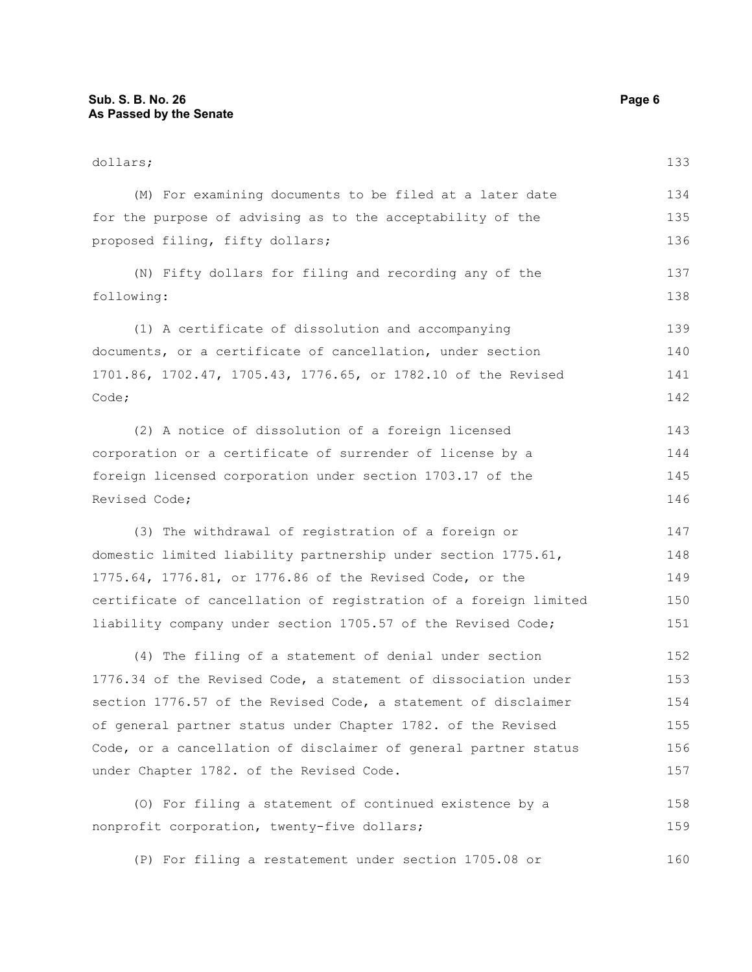| dollars;                                                         | 133 |
|------------------------------------------------------------------|-----|
| (M) For examining documents to be filed at a later date          | 134 |
| for the purpose of advising as to the acceptability of the       | 135 |
| proposed filing, fifty dollars;                                  | 136 |
| (N) Fifty dollars for filing and recording any of the            | 137 |
| following:                                                       | 138 |
| (1) A certificate of dissolution and accompanying                | 139 |
| documents, or a certificate of cancellation, under section       | 140 |
| 1701.86, 1702.47, 1705.43, 1776.65, or 1782.10 of the Revised    | 141 |
| Code;                                                            | 142 |
| (2) A notice of dissolution of a foreign licensed                | 143 |
| corporation or a certificate of surrender of license by a        | 144 |
| foreign licensed corporation under section 1703.17 of the        | 145 |
| Revised Code;                                                    | 146 |
| (3) The withdrawal of registration of a foreign or               | 147 |
| domestic limited liability partnership under section 1775.61,    | 148 |
| 1775.64, 1776.81, or 1776.86 of the Revised Code, or the         | 149 |
| certificate of cancellation of registration of a foreign limited | 150 |
| liability company under section 1705.57 of the Revised Code;     | 151 |
| (4) The filing of a statement of denial under section            | 152 |
| 1776.34 of the Revised Code, a statement of dissociation under   | 153 |
| section 1776.57 of the Revised Code, a statement of disclaimer   | 154 |
| of general partner status under Chapter 1782. of the Revised     | 155 |
| Code, or a cancellation of disclaimer of general partner status  | 156 |
| under Chapter 1782. of the Revised Code.                         | 157 |
| (0) For filing a statement of continued existence by a           | 158 |
| nonprofit corporation, twenty-five dollars;                      | 159 |
| (P) For filing a restatement under section 1705.08 or            | 160 |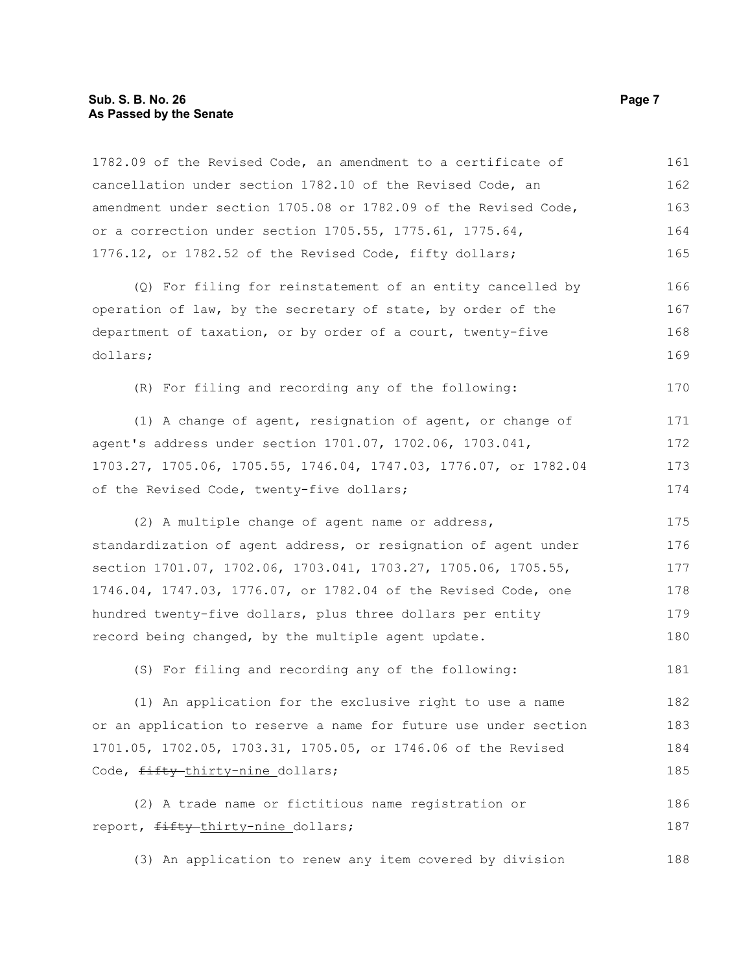#### **Sub. S. B. No. 26 Page 7 As Passed by the Senate**

1782.09 of the Revised Code, an amendment to a certificate of cancellation under section 1782.10 of the Revised Code, an amendment under section 1705.08 or 1782.09 of the Revised Code, or a correction under section 1705.55, 1775.61, 1775.64, 1776.12, or 1782.52 of the Revised Code, fifty dollars; (Q) For filing for reinstatement of an entity cancelled by operation of law, by the secretary of state, by order of the department of taxation, or by order of a court, twenty-five dollars; (R) For filing and recording any of the following: (1) A change of agent, resignation of agent, or change of agent's address under section 1701.07, 1702.06, 1703.041, 1703.27, 1705.06, 1705.55, 1746.04, 1747.03, 1776.07, or 1782.04 of the Revised Code, twenty-five dollars; (2) A multiple change of agent name or address, standardization of agent address, or resignation of agent under section 1701.07, 1702.06, 1703.041, 1703.27, 1705.06, 1705.55, 1746.04, 1747.03, 1776.07, or 1782.04 of the Revised Code, one hundred twenty-five dollars, plus three dollars per entity record being changed, by the multiple agent update. (S) For filing and recording any of the following: (1) An application for the exclusive right to use a name or an application to reserve a name for future use under section 1701.05, 1702.05, 1703.31, 1705.05, or 1746.06 of the Revised Code, fifty-thirty-nine dollars; (2) A trade name or fictitious name registration or report, fifty-thirty-nine dollars; 161 162 163 164 165 166 167 168 169 170 171 172 173 174 175 176 177 178 179 180 181 182 183 184 185 186 187

(3) An application to renew any item covered by division 188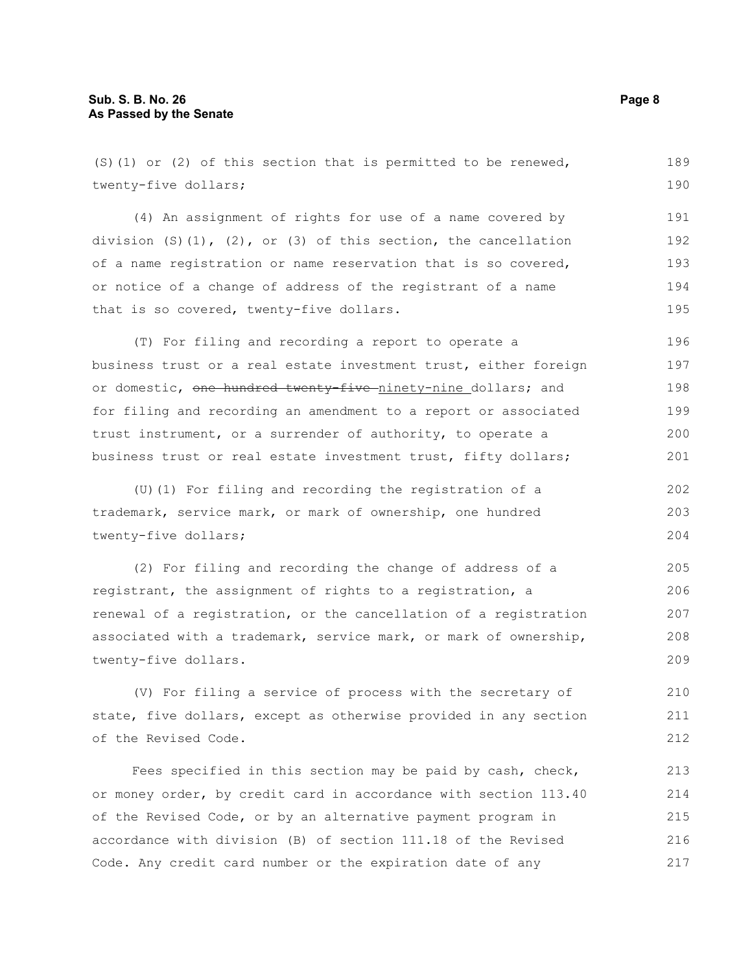| $(S)$ (1) or (2) of this section that is permitted to be renewed,      | 189 |
|------------------------------------------------------------------------|-----|
| twenty-five dollars;                                                   | 190 |
| (4) An assignment of rights for use of a name covered by               | 191 |
| division $(S)(1)$ , $(2)$ , or $(3)$ of this section, the cancellation | 192 |
| of a name registration or name reservation that is so covered,         | 193 |
| or notice of a change of address of the registrant of a name           | 194 |
| that is so covered, twenty-five dollars.                               | 195 |
| (T) For filing and recording a report to operate a                     | 196 |
| business trust or a real estate investment trust, either foreign       | 197 |
| or domestic, one hundred twenty-five ninety-nine dollars; and          | 198 |
| for filing and recording an amendment to a report or associated        | 199 |
| trust instrument, or a surrender of authority, to operate a            | 200 |
| business trust or real estate investment trust, fifty dollars;         | 201 |
| (U) (1) For filing and recording the registration of a                 | 202 |
| trademark, service mark, or mark of ownership, one hundred             | 203 |
| twenty-five dollars;                                                   | 204 |
| (2) For filing and recording the change of address of a                | 205 |
| registrant, the assignment of rights to a registration, a              | 206 |
| renewal of a registration, or the cancellation of a registration       | 207 |
| associated with a trademark, service mark, or mark of ownership,       | 208 |
| twenty-five dollars.                                                   | 209 |
| (V) For filing a service of process with the secretary of              | 210 |

 $(V)$  For filing a service of process with the secretary of state, five dollars, except as otherwise provided in any section of the Revised Code. 211 212

Fees specified in this section may be paid by cash, check, or money order, by credit card in accordance with section 113.40 of the Revised Code, or by an alternative payment program in accordance with division (B) of section 111.18 of the Revised Code. Any credit card number or the expiration date of any 213 214 215 216 217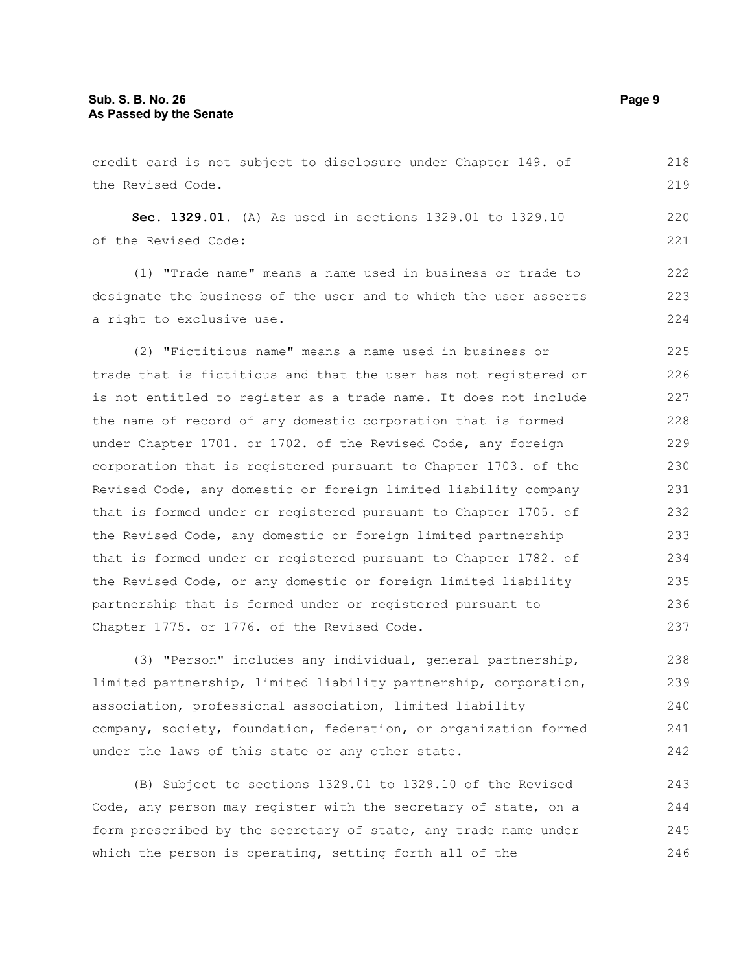credit card is not subject to disclosure under Chapter 149. of the Revised Code. **Sec. 1329.01.** (A) As used in sections 1329.01 to 1329.10 of the Revised Code: (1) "Trade name" means a name used in business or trade to designate the business of the user and to which the user asserts a right to exclusive use. (2) "Fictitious name" means a name used in business or trade that is fictitious and that the user has not registered or is not entitled to register as a trade name. It does not include the name of record of any domestic corporation that is formed under Chapter 1701. or 1702. of the Revised Code, any foreign corporation that is registered pursuant to Chapter 1703. of the Revised Code, any domestic or foreign limited liability company that is formed under or registered pursuant to Chapter 1705. of the Revised Code, any domestic or foreign limited partnership that is formed under or registered pursuant to Chapter 1782. of the Revised Code, or any domestic or foreign limited liability partnership that is formed under or registered pursuant to Chapter 1775. or 1776. of the Revised Code. 218 219 220 221 222 223 224 225 226 227 228 229 230 231 232 233 234 235 236 237

(3) "Person" includes any individual, general partnership, limited partnership, limited liability partnership, corporation, association, professional association, limited liability company, society, foundation, federation, or organization formed under the laws of this state or any other state. 238 239 240 241 242

(B) Subject to sections 1329.01 to 1329.10 of the Revised Code, any person may register with the secretary of state, on a form prescribed by the secretary of state, any trade name under which the person is operating, setting forth all of the 243 244 245 246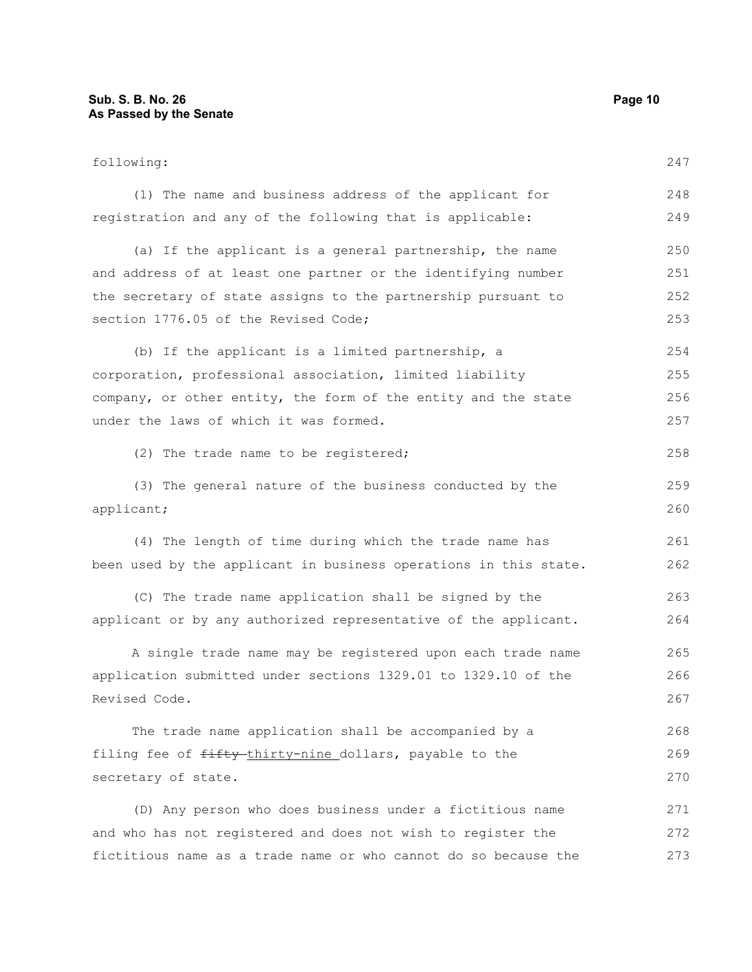| following:                                                       | 247 |
|------------------------------------------------------------------|-----|
| (1) The name and business address of the applicant for           | 248 |
| registration and any of the following that is applicable:        | 249 |
| (a) If the applicant is a general partnership, the name          | 250 |
| and address of at least one partner or the identifying number    | 251 |
| the secretary of state assigns to the partnership pursuant to    | 252 |
| section 1776.05 of the Revised Code;                             | 253 |
| (b) If the applicant is a limited partnership, a                 | 254 |
| corporation, professional association, limited liability         | 255 |
| company, or other entity, the form of the entity and the state   | 256 |
| under the laws of which it was formed.                           | 257 |
| (2) The trade name to be registered;                             | 258 |
| (3) The general nature of the business conducted by the          | 259 |
| applicant;                                                       | 260 |
| (4) The length of time during which the trade name has           | 261 |
| been used by the applicant in business operations in this state. | 262 |
| (C) The trade name application shall be signed by the            | 263 |
| applicant or by any authorized representative of the applicant.  | 264 |
| A single trade name may be registered upon each trade name       | 265 |
| application submitted under sections 1329.01 to 1329.10 of the   | 266 |
| Revised Code.                                                    | 267 |
| The trade name application shall be accompanied by a             | 268 |
| filing fee of fifty-thirty-nine_dollars, payable to the          | 269 |
| secretary of state.                                              | 270 |
| (D) Any person who does business under a fictitious name         | 271 |
| and who has not registered and does not wish to register the     | 272 |
| fictitious name as a trade name or who cannot do so because the  | 273 |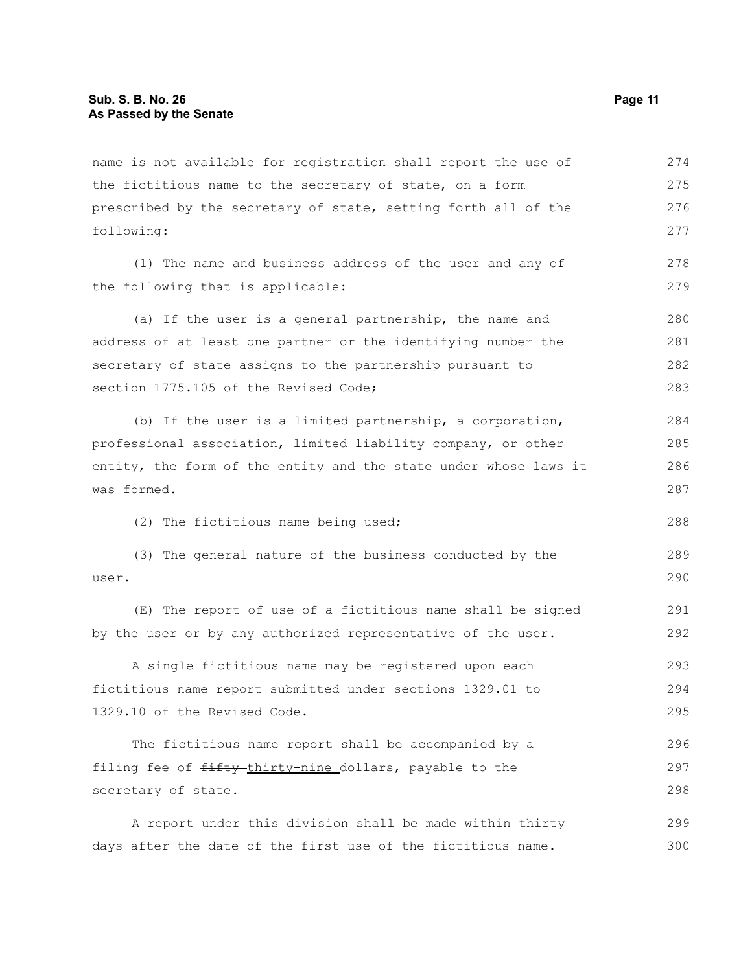| name is not available for registration shall report the use of   | 274 |
|------------------------------------------------------------------|-----|
| the fictitious name to the secretary of state, on a form         | 275 |
| prescribed by the secretary of state, setting forth all of the   | 276 |
| following:                                                       | 277 |
| (1) The name and business address of the user and any of         | 278 |
| the following that is applicable:                                | 279 |
| (a) If the user is a general partnership, the name and           | 280 |
| address of at least one partner or the identifying number the    | 281 |
| secretary of state assigns to the partnership pursuant to        | 282 |
| section 1775.105 of the Revised Code;                            | 283 |
| (b) If the user is a limited partnership, a corporation,         | 284 |
| professional association, limited liability company, or other    | 285 |
| entity, the form of the entity and the state under whose laws it | 286 |
| was formed.                                                      | 287 |
| (2) The fictitious name being used;                              | 288 |
| (3) The general nature of the business conducted by the          | 289 |
| user.                                                            | 290 |
| (E) The report of use of a fictitious name shall be signed       | 291 |
| by the user or by any authorized representative of the user.     | 292 |
| A single fictitious name may be registered upon each             | 293 |
| fictitious name report submitted under sections 1329.01 to       | 294 |
| 1329.10 of the Revised Code.                                     | 295 |
| The fictitious name report shall be accompanied by a             | 296 |
| filing fee of fifty-thirty-nine dollars, payable to the          | 297 |
| secretary of state.                                              | 298 |
| A report under this division shall be made within thirty         | 299 |
| days after the date of the first use of the fictitious name.     | 300 |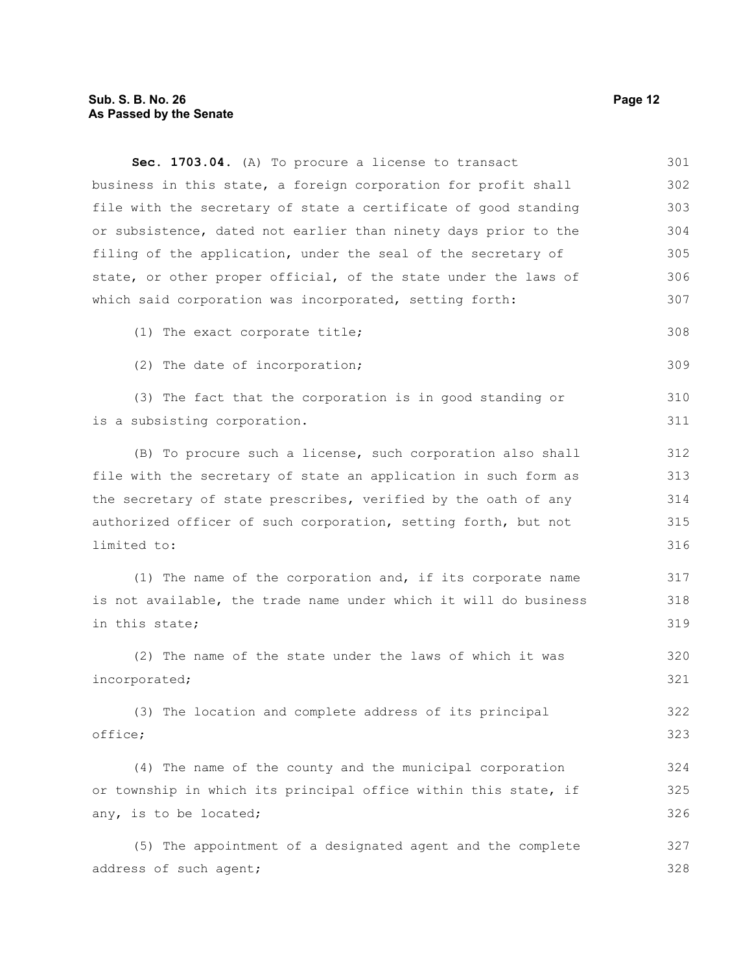## **Sub. S. B. No. 26 Page 12 As Passed by the Senate**

| Sec. 1703.04. (A) To procure a license to transact               | 301 |
|------------------------------------------------------------------|-----|
| business in this state, a foreign corporation for profit shall   | 302 |
| file with the secretary of state a certificate of good standing  | 303 |
| or subsistence, dated not earlier than ninety days prior to the  | 304 |
| filing of the application, under the seal of the secretary of    | 305 |
| state, or other proper official, of the state under the laws of  | 306 |
| which said corporation was incorporated, setting forth:          | 307 |
| (1) The exact corporate title;                                   | 308 |
| (2) The date of incorporation;                                   | 309 |
| (3) The fact that the corporation is in good standing or         | 310 |
| is a subsisting corporation.                                     | 311 |
| (B) To procure such a license, such corporation also shall       | 312 |
| file with the secretary of state an application in such form as  | 313 |
| the secretary of state prescribes, verified by the oath of any   | 314 |
| authorized officer of such corporation, setting forth, but not   | 315 |
| limited to:                                                      | 316 |
| (1) The name of the corporation and, if its corporate name       | 317 |
| is not available, the trade name under which it will do business | 318 |
| in this state;                                                   | 319 |
| (2) The name of the state under the laws of which it was         | 320 |
| incorporated;                                                    | 321 |
| (3) The location and complete address of its principal           | 322 |
| office;                                                          | 323 |

(4) The name of the county and the municipal corporation or township in which its principal office within this state, if any, is to be located; 324 325 326

(5) The appointment of a designated agent and the complete address of such agent; 327 328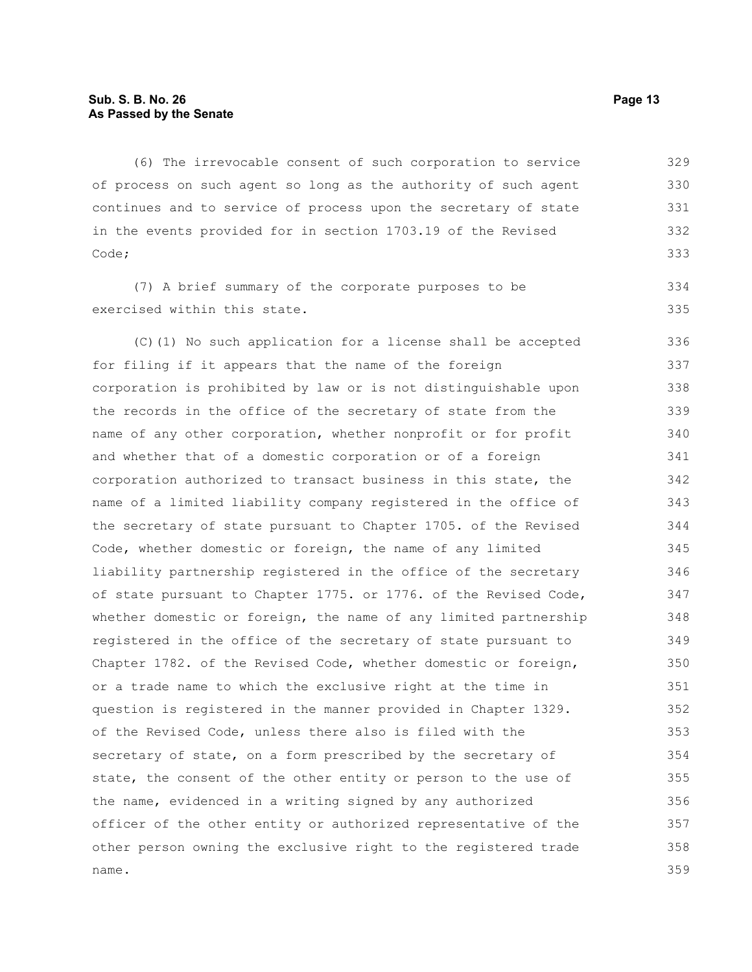(6) The irrevocable consent of such corporation to service of process on such agent so long as the authority of such agent continues and to service of process upon the secretary of state in the events provided for in section 1703.19 of the Revised Code; 329 330 331 332 333

(7) A brief summary of the corporate purposes to be exercised within this state.

(C)(1) No such application for a license shall be accepted for filing if it appears that the name of the foreign corporation is prohibited by law or is not distinguishable upon the records in the office of the secretary of state from the name of any other corporation, whether nonprofit or for profit and whether that of a domestic corporation or of a foreign corporation authorized to transact business in this state, the name of a limited liability company registered in the office of the secretary of state pursuant to Chapter 1705. of the Revised Code, whether domestic or foreign, the name of any limited liability partnership registered in the office of the secretary of state pursuant to Chapter 1775. or 1776. of the Revised Code, whether domestic or foreign, the name of any limited partnership registered in the office of the secretary of state pursuant to Chapter 1782. of the Revised Code, whether domestic or foreign, or a trade name to which the exclusive right at the time in question is registered in the manner provided in Chapter 1329. of the Revised Code, unless there also is filed with the secretary of state, on a form prescribed by the secretary of state, the consent of the other entity or person to the use of the name, evidenced in a writing signed by any authorized officer of the other entity or authorized representative of the other person owning the exclusive right to the registered trade name. 336 337 338 339 340 341 342 343 344 345 346 347 348 349 350 351 352 353 354 355 356 357 358 359

334 335